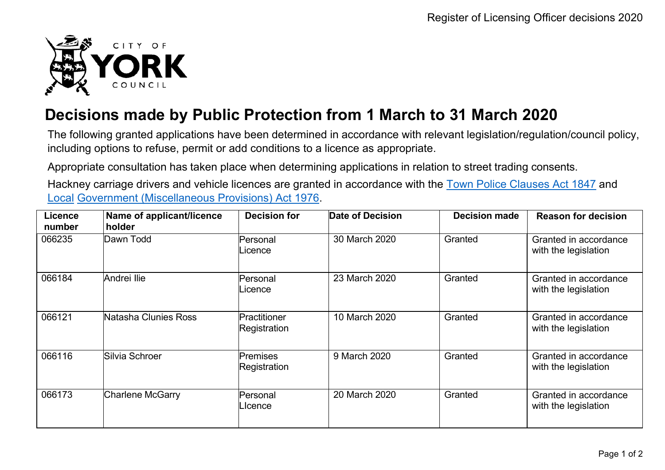

## **Decisions made by Public Protection from 1 March to 31 March 2020**

The following granted applications have been determined in accordance with relevant legislation/regulation/council policy, including options to refuse, permit or add conditions to a licence as appropriate.

Appropriate consultation has taken place when determining applications in relation to street trading consents.

Hackney carriage drivers and vehicle licences are granted in accordance with the Town Police [Clauses](http://www.legislation.gov.uk/ukpga/Vict/10-11/89) Act 1847 and [Local](http://www.legislation.gov.uk/ukpga/1976/57) [Government \(Miscellaneous Provisions\) Act 1976.](http://www.legislation.gov.uk/ukpga/1976/57)

| <b>Licence</b><br>number | Name of applicant/licence<br>holder | <b>Decision for</b>             | Date of Decision | <b>Decision made</b> | <b>Reason for decision</b>                    |
|--------------------------|-------------------------------------|---------------------------------|------------------|----------------------|-----------------------------------------------|
| 066235                   | Dawn Todd                           | Personal<br>Licence             | 30 March 2020    | Granted              | Granted in accordance<br>with the legislation |
| 066184                   | Andrei Ilie                         | Personal<br>Licence             | 23 March 2020    | Granted              | Granted in accordance<br>with the legislation |
| 066121                   | Natasha Clunies Ross                | Practitioner<br>Registration    | 10 March 2020    | Granted              | Granted in accordance<br>with the legislation |
| 066116                   | Silvia Schroer                      | <b>Premises</b><br>Registration | 9 March 2020     | Granted              | Granted in accordance<br>with the legislation |
| 066173                   | <b>Charlene McGarry</b>             | Personal<br>∟lcence             | 20 March 2020    | Granted              | Granted in accordance<br>with the legislation |